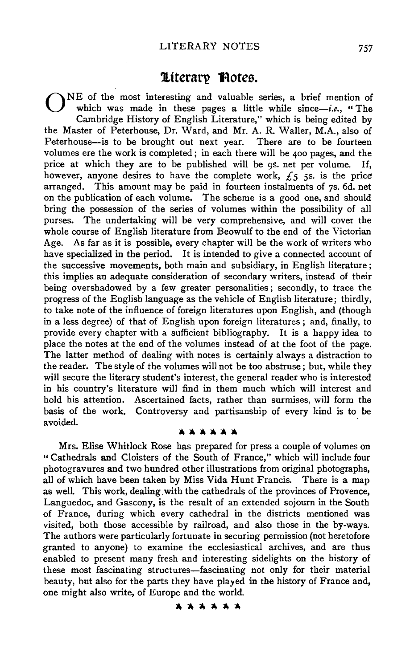# **1tteran? 1Rotes.**

0 NE of the most interesting and valuable series, a brief mention of which was made in these pages a little while since-i.e., "The Cambridge History of English Literature," which is being edited by the Master of Peterhouse, Dr. Ward, and Mr. A. R. Waller, M.A., also of Peterhouse-is to be brought out next year. There are to be fourteen volumes ere the work is completed; in each there will be 400 pages, and the price at which they are to be published will be gs. net per volume. If, however, anyone desires to have the complete work,  $f_5$   $\zeta$ ss. is the price arranged. This amount may be paid in fourteen instalments of 7s. 6d. net on the publication of each volume. The scheme is a good one, and should bring the possession of the series of volumes within the possibility of all purses. The undertaking will be very comprehensive, and will cover the whole course of English literature from Beowulf to the end of the Victorian Age. As far as it is possible, every chapter will be the work of writers who have specialized in the period. It is intended to give a connected account of the successive movements, both main and subsidiary, in English literature; this implies an adequate consideration of secondary writers, instead of their being overshadowed by a few greater personalities; secondly, to trace the progress of the English language as the vehicle of English literature; thirdly, to take note of the influence of foreign literatures upon English, and (though in a less degree) of that of English upon foreign literatures ; and, finally, to provide every chapter with a sufficient bibliography. It is a happy idea to place the notes at the end of the volumes instead of at the foot of the page. The latter method of dealing with notes is certainly always a distraction to the reader. The style of the volumes will not be too abstruse; but, while they will secure the literary student's interest, the general reader who is interested in his country's literature will find in them much which will interest and hold his attention. Ascertained facts, rather than surmises, will form the basis of the work. Controversy and partisanship of every kind is to be avoided. ~~~~~~

Mrs. Elise Whitlock Rose has prepared for press a couple of volumes on " Cathedrals and Cloisters of the South of France," which will include four photogravures and two hundred other illustrations from original photographs, all of which have been taken by Miss Vida Hunt Francis. There is a map as well. This work, dealing with the cathedrals of the provinces of Provence, Languedoc, and Gascony, is the result of an extended sojourn in the South of France, during which every cathedral in the districts mentioned was visited, both those accessible by railroad, and also those in the by-ways. The authors were particularly fortunate in securing permission (not heretofore granted to anyone) to examine the ecclesiastical archives, and are thus enabled to present many fresh and interesting sidelights on the history of these most fascinating structures-fascinating not only for their material beauty, but also for the parts they have played in the history of France and, one might also write, of Europe and the world.

~~~~~~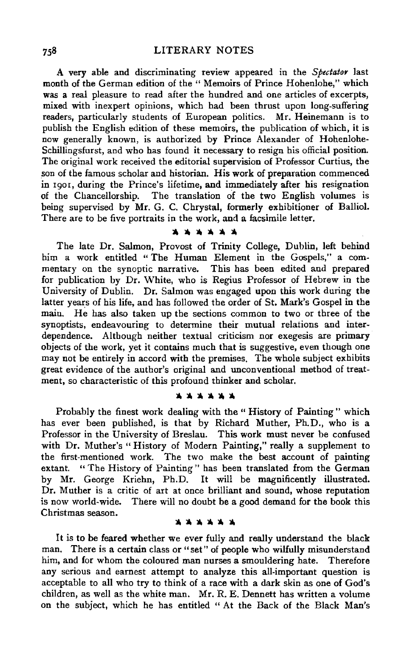A very able and discriminating review appeared in the *Spectator* last month of the German edition of the " Memoirs of Prince Hohenlohe," which was a real pleasure to read after the hundred and one articles of excerpts, mixed with inexpert opinions, which had been thrust upon long-suffering readers, particularly students of European politics. Mr. Heinemann is to publish the English edition of these memoirs, the publication of which, it is now generally known, is authorized by Prince Alexander of Hohenlohe-Schillingsfurst, and who has found it necessary to resign his official position. The original work received the editorial supervision of Professor Curtius, the son of the famous scholar and historian. His **work** of preparation commenced in rgor, during the Prince's lifetime, and immediately after his resignation of the Chancellorship. The translation of the two English volumes is being supervised by Mr. G. C. Chrystal, formerly exhibitioner of Balliol. There are to be five portraits in the work, and a facsimile letter.

## **lltltt:lltlttlttllt**

The late Dr. Salmon, Provost of Trinity College, Dublin, left behind him a work entitled " The Human Element in the Gospels," a commentary on the synoptic narrative. This has been edited and prepared for publication by Dr. White, who is Regius Professor of Hebrew in the University of Dublin. Dr. Salmon was engaged upon this work during the latter years of his life, and has followed the order of St. Mark's Gospel in the main. He has also taken up the sections common to two or three of the synoptists, endeavouring to determine their mutual relations and interdependence. Although neither textual criticism nor exegesis are primary objects of the work, yet it contains much that is suggestive, even though one may not be entirely in accord with the premises. The whole subject exhibits great evidence of the author's original and unconventional method of treatment, so characteristic of this profound thinker and scholar.

#### **1t1tlttlttlttltt**

Probably the finest work dealing with the " History of Painting" which has ever been published, is that by Richard Muther, Ph.D., who is a Professor in the University of Breslau. This work must never be confused with Dr. Muther's "History of Modern Painting," really a supplement to the first-mentioned work. The two make the best account of painting extant. "The History of Painting" has been translated from the German by Mr. George Kriehn, Ph.D. It will be magnificently illustrated. Dr. Muther is a critic of art at once brilliant and sound, whose reputation is now world-wide. There will no doubt be a good demand for the book this Christmas season.

#### **lltlttlttlttlttltt**

It is to be feared whether we ever fully and really understand the black man. There is a certain class or " set" of people who wilfully misunderstand him, and for whom the coloured man nurses a smouldering hate. Therefore any serious and earnest attempt to analyze this all-important question is acceptable to all who try to think of a race with a dark skin as one of God's children, as well as the white man. Mr. R. E. Dennett has written a volume on the subject, which he has entitled " At the Back of the Black Man's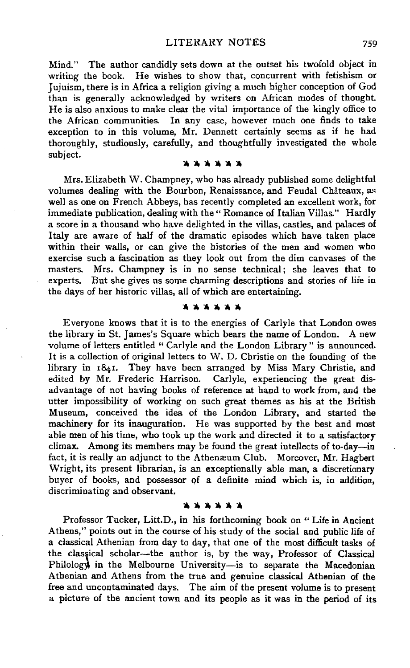Mind." The author candidly sets down at the outset his twofold object in writing the book. He wishes to show that, concurrent with fetishism or Jujuism, there is in Africa a religion giving a much higher conception of God than is generally acknowledged by writers on African modes of thought. He is also anxious to make clear the vital importance of the kingly office to the African communities. In any case, however much one finds to take exception to in this volume, Mr. Dennett certainly seems as if be bad thoroughly, studiously, carefully, and thoughtfully investigated the whole subject.

**llllllllllftllll\** 

Mrs. Elizabeth W. Champney, who has already published some delightful volumes dealing with the Bourbon, Renaissance, and Feudal Chateaux, as well as one on French Abbeys, has recently completed an excellent work, for immediate publication, dealing with the " Romance of Italian Villas." Hardly a score in a thousand who have delighted in the villas, castles, and palaces of Italy are aware of half of the dramatic episodes which have taken place within their walls, or can give the histories of the men and women who exercise such a fascination as they look out from the dim canvases of the masters. Mrs. Champney is in no sense technical; she leaves that to experts. But she gives us some charming descriptions and stories of life in the days of her historic villas, all of which are entertaining.

#### **lllllllllllllftlft**

Everyone knows that it is to the energies of Carlyle that London owes the library in St. James's Square which bears the name of London. A new volume of letters entitled " Carlyle and the London Library" is announced. It is a collection of original letters toW. D. Christie on the founding of the library in 1841. They have been arranged by Miss Mary Christie, and<br>edited by Mr. Frederic Harrison. Carlyle, experiencing the great dis-Carlyle, experiencing the great disadvantage of not having books of reference at hand to work from, and the utter impossibility of working on such great themes as his at the British Museum, conceived the idea of the London Library, and started the machinery for its inauguration. He was supported by the best and most able men of his time, who took up the work and directed it to a satisfactory climax. Among its members may be found the great intellects of to-day-in fact, it is really an adjunct to the Athenæum Club. Moreover, Mr. Hagbert Wright, its present librarian, is an exceptionally able man, a discretionary buyer of books, and possessor Qf a definite mind which is, in addition, discriminating and observant.

#### **:t.:t.lttlftlttlft**

Professor Tucker, Litt.D., in his forthcoming book on ''Life in Ancient Athens," points out in the course of his study of the social and public life of a classical Athenian from day to day, that one of the most difficult tasks of the classical scholar-the author is, by the way, Professor of Classical Philology in the Melbourne University-is to separate the Macedonian Athenian and Athens from the true and genuine classical Athenian of the free and uncontaminated days. The aim of the present volume is to present a picture of the ancient town and its people as it was in the period of its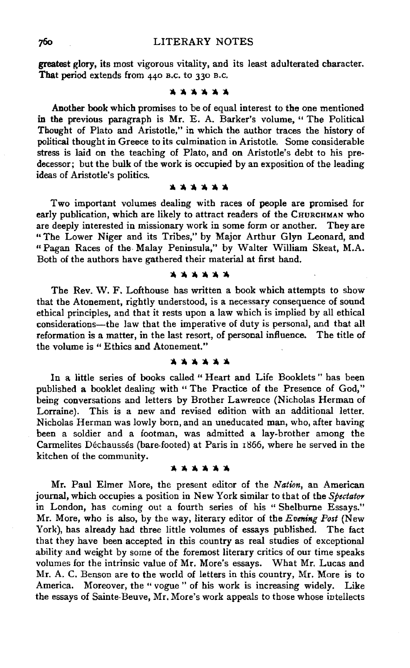**greatest** glory, its most vigorous vitality, and its least adulterated character. **That** period extends from 440 B.c. to 330 B.c.

#### ~llllll~~ **..**

Another book which promises to be of equal interest to the one mentioned in the previous paragraph is Mr. E. A. Barker's volume, " The Political Thought of Plato and Aristotle," in which the author traces the history of political thought in Greece to its culmination in Aristotle. Some considerable stress is laid on the teaching of Plato, and on Aristotle's debt to his predecessor; but the bulk of the work is occupied by an exposition of the leading ideas of Aristotle's politics.

#### lllllllii~~-

Two important volumes dealing with races of people are promised for early publication, which are likely to attract readers of the CHURCHMAN who are deeply interested in missionary work in some form or another. They are "The Lower Niger and its Tribes," by Major Arthur Glyn Leonard, and "Pagan Races of the. Malay Peninsula," by Walter William Skeat, M.A. Both of the authors have gathered their material at first hand.

## \*\*\*\*\*\*

The Rev. W. F. Lofthouse has written a book which attempts to show that the Atonement, rightly understood, is a necessary consequence of sound ethical principles, and that it rests upon a law which is implied by all ethical considerations-the law that the imperative of duty is personal, and that all reformation is a matter, in the last resort, of personal influence. The title of the volume is " Ethics and Atonement."

#### **lllllllllllllllllo**

In a little series of books called " Heart and Life Booklets " has been published a booklet dealing with " The Practice of the Presence of God," being conversations and letters by Brother Lawrence (Nicholas Herman of Lorraine). This is a new and revised edition with an additional letter. Nicholas Herman was lowly born, and an uneducated man, who, after having been a soldier and a footman, was admitted a lay-brother among the Carmelites Déchaussés (bare-footed) at Paris in 1866, where he served in the kitchen of the community.

#### llolllllollllll~

Mr. Paul Elmer More, the present editor of the *Nation,* an American journal, which occupies a position in New York similar to that of the *Spectator* in London, has coming out a fourth series of his "Shelburne Essays." Mr. More, who is also, by the way, literary editor of the *Evening Post* (New York), has already had three little volumes of essays published. The fact that they have been accepted in this country as real studies of exceptional ability and weight by some of the foremost literary critics of our time speaks volumes for the intrinsic value of Mr. More's essays. What Mr. Lucas and Mr. A. C. Benson are to the world of letters in this country, Mr. More is to America. Moreover, the "vogue" of his work is increasing widely. Like the essays of Sainte-Beuve, Mr. More's work appeals to those whose intellects

760